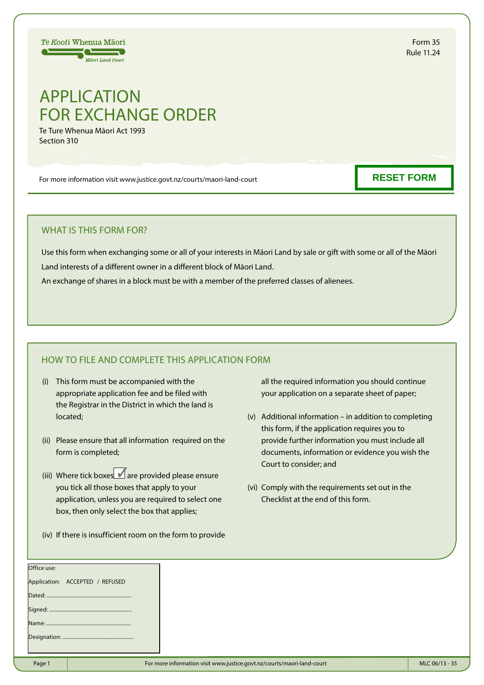# APPLICATION FOR EXCHANGE ORDER

Te Ture Whenua Māori Act 1993 Section 310

Te Kooti Whenua Māori  $\equiv$   $\equiv$ **Mäori Land Court** 

For more information visit www.justice.govt.nz/courts/maori-land-court

## WHAT IS THIS FORM FOR?

Use this form when exchanging some or all of your interests in Māori Land by sale or gift with some or all of the Māori Land interests of a different owner in a different block of Māori Land.

An exchange of shares in a block must be with a member of the preferred classes of alienees.

## HOW TO FILE AND COMPLETE THIS APPLICATION FORM

- (i) This form must be accompanied with the appropriate application fee and be filed with the Registrar in the District in which the land is located;
- (ii) Please ensure that all information required on the form is completed;
- (iii) Where tick boxes  $\blacksquare$  are provided please ensure you tick all those boxes that apply to your application, unless you are required to select one box, then only select the box that applies;
- (iv) If there is insufficient room on the form to provide

all the required information you should continue your application on a separate sheet of paper;

- (v) Additional information in addition to completing this form, if the application requires you to provide further information you must include all documents, information or evidence you wish the Court to consider; and
- (vi) Comply with the requirements set out in the Checklist at the end of this form.

| Page 1      |                                 | For more information visit www.justice.govt.nz/courts/maori-land-court | MLC 06/13 - 35 |
|-------------|---------------------------------|------------------------------------------------------------------------|----------------|
|             |                                 |                                                                        |                |
|             |                                 |                                                                        |                |
|             |                                 |                                                                        |                |
|             |                                 |                                                                        |                |
|             | Application: ACCEPTED / REFUSED |                                                                        |                |
| Office use: |                                 |                                                                        |                |

**RESET FORM**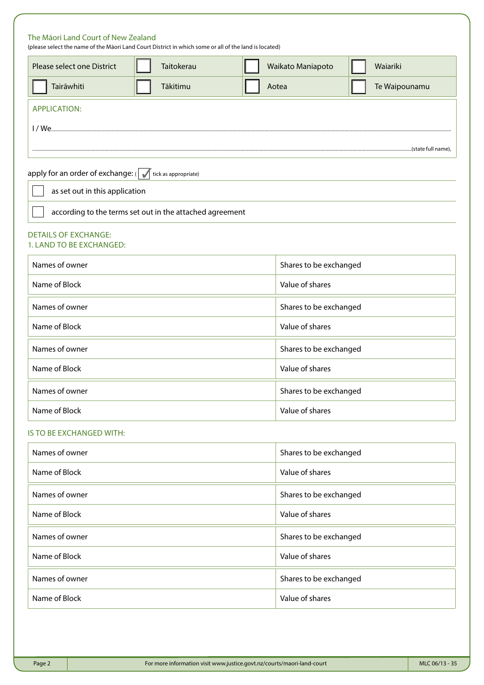| The Māori Land Court of New Zealand<br>(please select the name of the Māori Land Court District in which some or all of the land is located) |  |                      |                 |                        |                        |  |  |
|----------------------------------------------------------------------------------------------------------------------------------------------|--|----------------------|-----------------|------------------------|------------------------|--|--|
| Please select one District                                                                                                                   |  | Taitokerau           |                 | Waikato Maniapoto      | Waiariki               |  |  |
| Tairāwhiti                                                                                                                                   |  | Tākitimu             |                 | Aotea                  | Te Waipounamu          |  |  |
| <b>APPLICATION:</b>                                                                                                                          |  |                      |                 |                        |                        |  |  |
| 1/ We                                                                                                                                        |  |                      |                 |                        |                        |  |  |
|                                                                                                                                              |  |                      |                 |                        |                        |  |  |
| apply for an order of exchange: $\left(\right)$                                                                                              |  | tick as appropriate) |                 |                        |                        |  |  |
| as set out in this application                                                                                                               |  |                      |                 |                        |                        |  |  |
| according to the terms set out in the attached agreement                                                                                     |  |                      |                 |                        |                        |  |  |
| <b>DETAILS OF EXCHANGE:</b><br>1. LAND TO BE EXCHANGED:                                                                                      |  |                      |                 |                        |                        |  |  |
| Names of owner                                                                                                                               |  |                      |                 |                        | Shares to be exchanged |  |  |
| Name of Block                                                                                                                                |  |                      |                 | Value of shares        |                        |  |  |
| Names of owner                                                                                                                               |  |                      |                 | Shares to be exchanged |                        |  |  |
| Name of Block                                                                                                                                |  |                      | Value of shares |                        |                        |  |  |
| Names of owner                                                                                                                               |  |                      |                 | Shares to be exchanged |                        |  |  |
| Name of Block                                                                                                                                |  |                      |                 | Value of shares        |                        |  |  |
| Names of owner                                                                                                                               |  |                      |                 | Shares to be exchanged |                        |  |  |
| Name of Block                                                                                                                                |  |                      | Value of shares |                        |                        |  |  |
| IS TO BE EXCHANGED WITH:                                                                                                                     |  |                      |                 |                        |                        |  |  |
| Names of owner                                                                                                                               |  |                      |                 |                        | Shares to be exchanged |  |  |
| Name of Block                                                                                                                                |  |                      |                 | Value of shares        |                        |  |  |
| Names of owner                                                                                                                               |  |                      |                 | Shares to be exchanged |                        |  |  |
| Name of Block                                                                                                                                |  |                      | Value of shares |                        |                        |  |  |
| Names of owner                                                                                                                               |  |                      |                 | Shares to be exchanged |                        |  |  |
| Name of Block                                                                                                                                |  |                      | Value of shares |                        |                        |  |  |
| Names of owner                                                                                                                               |  |                      |                 | Shares to be exchanged |                        |  |  |
| Name of Block                                                                                                                                |  |                      | Value of shares |                        |                        |  |  |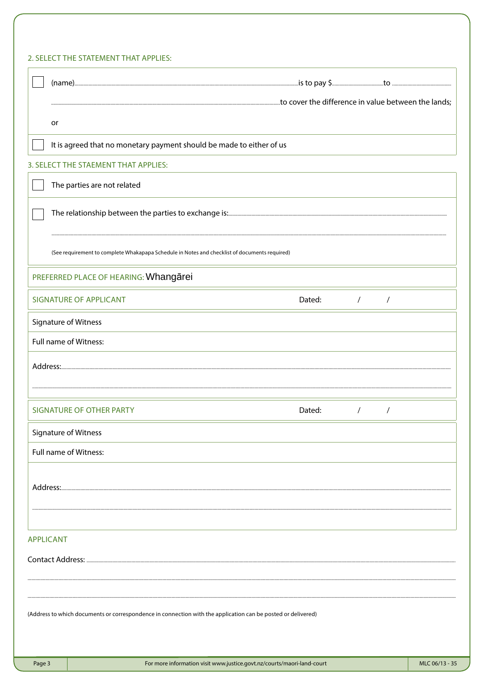## 2. SELECT THE STATEMENT THAT APPLIES:

|                                                                                                              | or       |                                                                                               |            |            |                |
|--------------------------------------------------------------------------------------------------------------|----------|-----------------------------------------------------------------------------------------------|------------|------------|----------------|
|                                                                                                              |          | It is agreed that no monetary payment should be made to either of us                          |            |            |                |
|                                                                                                              |          | 3. SELECT THE STAEMENT THAT APPLIES:                                                          |            |            |                |
|                                                                                                              |          | The parties are not related                                                                   |            |            |                |
|                                                                                                              |          |                                                                                               |            |            |                |
|                                                                                                              |          | (See requirement to complete Whakapapa Schedule in Notes and checklist of documents required) |            |            |                |
|                                                                                                              |          | PREFERRED PLACE OF HEARING: Whangarei                                                         |            |            |                |
|                                                                                                              |          | <b>SIGNATURE OF APPLICANT</b><br>Dated:                                                       | $\sqrt{2}$ | $\sqrt{2}$ |                |
|                                                                                                              |          | Signature of Witness                                                                          |            |            |                |
|                                                                                                              |          | Full name of Witness:                                                                         |            |            |                |
|                                                                                                              |          |                                                                                               |            |            |                |
|                                                                                                              |          |                                                                                               |            |            |                |
|                                                                                                              |          | <b>SIGNATURE OF OTHER PARTY</b><br>Dated:                                                     | $\prime$   |            |                |
|                                                                                                              |          | Signature of Witness                                                                          |            |            |                |
|                                                                                                              |          | Full name of Witness:                                                                         |            |            |                |
|                                                                                                              | Address: |                                                                                               |            |            |                |
|                                                                                                              |          |                                                                                               |            |            |                |
|                                                                                                              |          |                                                                                               |            |            |                |
| <b>APPLICANT</b>                                                                                             |          |                                                                                               |            |            |                |
|                                                                                                              |          |                                                                                               |            |            |                |
|                                                                                                              |          |                                                                                               |            |            |                |
| (Address to which documents or correspondence in connection with the application can be posted or delivered) |          |                                                                                               |            |            |                |
| Page 3                                                                                                       |          | For more information visit www.justice.govt.nz/courts/maori-land-court                        |            |            | MLC 06/13 - 35 |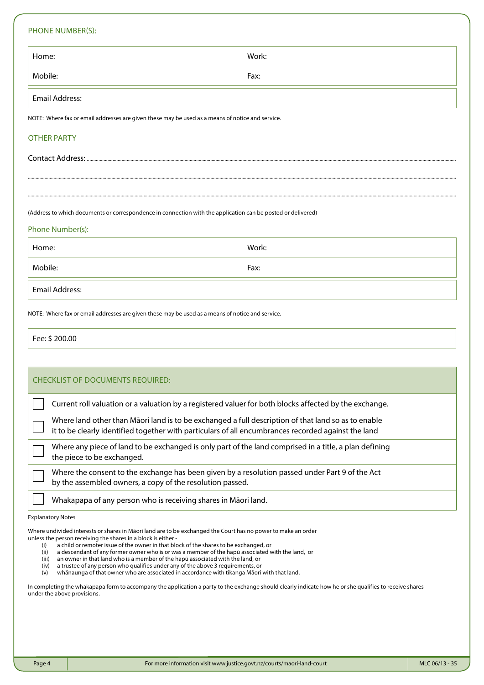## PHONE NUMBER(S):

| PHONE NUMBER(S):                                                                                             |       |  |  |  |
|--------------------------------------------------------------------------------------------------------------|-------|--|--|--|
| Home:                                                                                                        | Work: |  |  |  |
| Mobile:                                                                                                      | Fax:  |  |  |  |
| <b>Email Address:</b>                                                                                        |       |  |  |  |
| NOTE: Where fax or email addresses are given these may be used as a means of notice and service.             |       |  |  |  |
| <b>OTHER PARTY</b>                                                                                           |       |  |  |  |
|                                                                                                              |       |  |  |  |
|                                                                                                              |       |  |  |  |
| (Address to which documents or correspondence in connection with the application can be posted or delivered) |       |  |  |  |
| Phone Number(s):                                                                                             |       |  |  |  |
| Home:                                                                                                        | Work: |  |  |  |
| Mobile:                                                                                                      | Fax:  |  |  |  |
| <b>Email Address:</b>                                                                                        |       |  |  |  |
|                                                                                                              |       |  |  |  |

NOTE: Where fax or email addresses are given these may be used as a means of notice and service.

Fee: \$ 200.00

| <b>CHECKLIST OF DOCUMENTS REQUIRED:</b>                                                                                                                                                                    |
|------------------------------------------------------------------------------------------------------------------------------------------------------------------------------------------------------------|
| Current roll valuation or a valuation by a registered valuer for both blocks affected by the exchange.                                                                                                     |
| Where land other than Māori land is to be exchanged a full description of that land so as to enable<br>it to be clearly identified together with particulars of all encumbrances recorded against the land |
| Where any piece of land to be exchanged is only part of the land comprised in a title, a plan defining<br>the piece to be exchanged.                                                                       |
| Where the consent to the exchange has been given by a resolution passed under Part 9 of the Act<br>by the assembled owners, a copy of the resolution passed.                                               |
| Whakapapa of any person who is receiving shares in Māori land.                                                                                                                                             |

#### Explanatory Notes

Where undivided interests or shares in Māori land are to be exchanged the Court has no power to make an order unless the person receiving the shares in a block is either -

- (i) a child or remoter issue of the owner in that block of the shares to be exchanged, or (ii) a descendant of any former owner who is or was a member of the hapu associated v
- a descendant of any former owner who is or was a member of the hapū associated with the land, or
- (iii) an owner in that land who is a member of the hapū associated with the land, or (iv) a trustee of any person who qualifies under any of the above 3 requirements, or
- (iv) a trustee of any person who qualifies under any of the above 3 requirements, or
- whänaunga of that owner who are associated in accordance with tikanga Māori with that land.

In completing the whakapapa form to accompany the application a party to the exchange should clearly indicate how he or she qualifies to receive shares under the above provisions.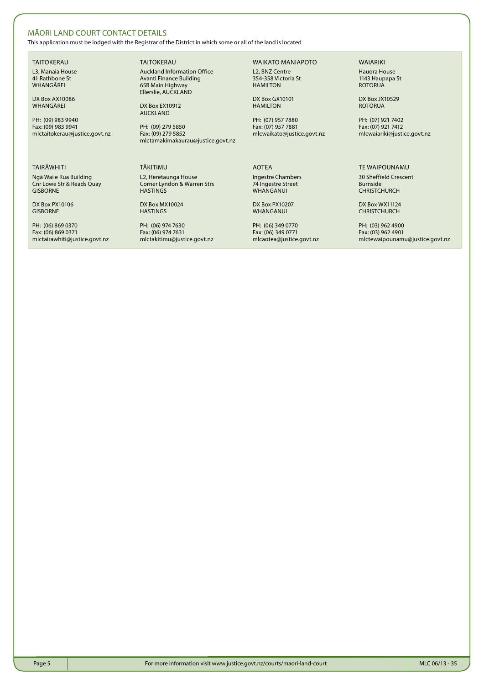## MĀORI LAND COURT CONTACT DETAILS

This application must be lodged with the Registrar of the District in which some or all of the land is located

TAITOKERAU L3, Manaia House 41 Rathbone St WHANGĀREI

DX Box AX10086 **WHANGAREI** 

PH: (09) 983 9940 Fax: (09) 983 9941 mlctaitokerau@justice.govt.nz

#### TAIRĀWHITI

Ngā Wai e Rua Building Cnr Lowe Str & Reads Quay GISBORNE

DX Box PX10106 GISBORNE

PH: (06) 869 0370 Fax: (06) 869 0371 mlctairawhiti@justice.govt.nz TAITOKERAU Auckland Information Office Avanti Finance Building 65B Main Highway Ellerslie, AUCKLAND

DX Box EX10912 AUCKLAND

PH: (09) 279 5850 Fax: (09) 279 5852 mlctamakimakaurau@justice.govt.nz

#### TĀKITIMU L2, Heretaunga House Corner Lyndon & Warren Strs HASTINGS

DX Box MX10024 **HASTINGS** 

PH: (06) 974 7630 Fax: (06) 974 7631 mlctakitimu@justice.govt.nz

## WAIKATO MANIAPOTO

L2, BNZ Centre 354-358 Victoria St HAMILTON

DX Box GX10101 **HAMILTON** 

PH: (07) 957 7880 Fax: (07) 957 7881 mlcwaikato@justice.govt.nz

AOTEA Ingestre Chambers

74 Ingestre Street WHANGANUI

DX Box PX10207 **WHANGANUI** 

PH: (06) 349 0770 Fax: (06) 349 0771 mlcaotea@justice.govt.nz

### WAIARIKI

Hauora House 1143 Haupapa St ROTORUA

DX Box JX10529 **ROTORUA** 

PH: (07) 921 7402 Fax: (07) 921 7412 mlcwaiariki@justice.govt.nz

### TE WAIPOUNAMU

30 Sheffield Crescent Burnside **CHRISTCHURCH** 

DX Box WX11124 CHRISTCHURCH

PH: (03) 962 4900 Fax: (03) 962 4901 mlctewaipounamu@justice.govt.nz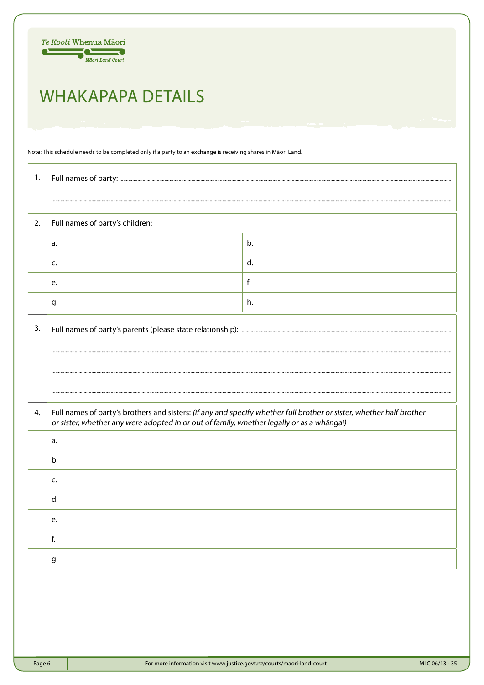

# **WHAKAPAPA DETAILS**

Note: This schedule needs to be completed only if a party to an exchange is receiving shares in Māori Land.

| 1. |                                                                                                                                                                                                                   |              |  |  |  |
|----|-------------------------------------------------------------------------------------------------------------------------------------------------------------------------------------------------------------------|--------------|--|--|--|
|    |                                                                                                                                                                                                                   |              |  |  |  |
| 2. | Full names of party's children:                                                                                                                                                                                   |              |  |  |  |
|    | a.                                                                                                                                                                                                                | b.           |  |  |  |
|    | c.                                                                                                                                                                                                                | d.           |  |  |  |
|    | e.                                                                                                                                                                                                                | $\mathsf{f}$ |  |  |  |
|    | g.                                                                                                                                                                                                                | h.           |  |  |  |
| 3. |                                                                                                                                                                                                                   |              |  |  |  |
|    |                                                                                                                                                                                                                   |              |  |  |  |
|    |                                                                                                                                                                                                                   |              |  |  |  |
| 4. | Full names of party's brothers and sisters: (if any and specify whether full brother or sister, whether half brother<br>or sister, whether any were adopted in or out of family, whether legally or as a whängai) |              |  |  |  |
|    | a.                                                                                                                                                                                                                |              |  |  |  |
|    | b.                                                                                                                                                                                                                |              |  |  |  |
|    | c.                                                                                                                                                                                                                |              |  |  |  |
|    | d.                                                                                                                                                                                                                |              |  |  |  |
|    | e.                                                                                                                                                                                                                |              |  |  |  |
|    | f.                                                                                                                                                                                                                |              |  |  |  |
|    | g.                                                                                                                                                                                                                |              |  |  |  |